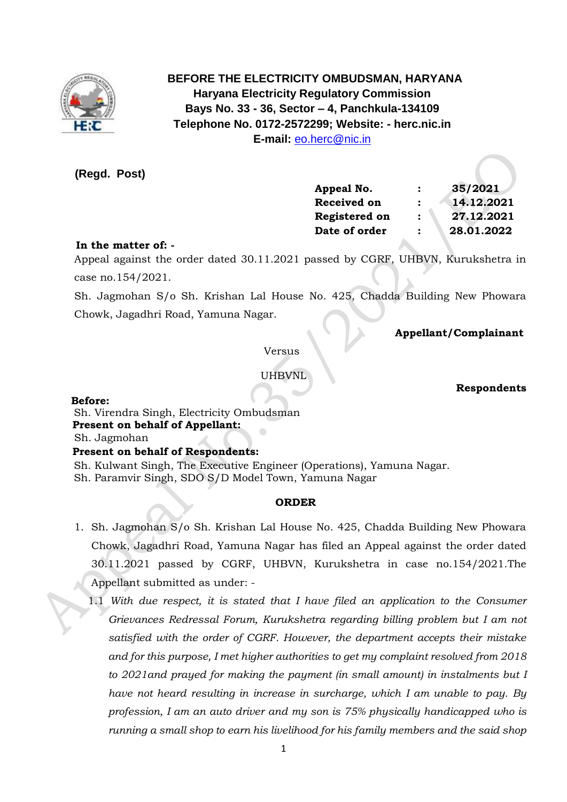

 **BEFORE THE ELECTRICITY OMBUDSMAN, HARYANA Haryana Electricity Regulatory Commission Bays No. 33 - 36, Sector – 4, Panchkula-134109 Telephone No. 0172-2572299; Website: - herc.nic.in E-mail:** [eo.herc@nic.in](mailto:eo.herc@nic.in)

**(Regd. Post)**

| Appeal No.         |                | 35/2021    |
|--------------------|----------------|------------|
| <b>Received on</b> | :              | 14.12.2021 |
| Registered on      | :              | 27.12.2021 |
| Date of order      | $\ddot{\cdot}$ | 28.01.2022 |
|                    |                |            |

## **In the matter of: -**

 Appeal against the order dated 30.11.2021 passed by CGRF, UHBVN, Kurukshetra in case no.154/2021.

 Sh. Jagmohan S/o Sh. Krishan Lal House No. 425, Chadda Building New Phowara Chowk, Jagadhri Road, Yamuna Nagar.

 **Appellant/Complainant** 

Versus

UHBVNL

 **Respondents**

**Before:** 

 Sh. Virendra Singh, Electricity Ombudsman  **Present on behalf of Appellant:**  Sh. Jagmohan  **Present on behalf of Respondents:** 

Sh. Kulwant Singh, The Executive Engineer (Operations), Yamuna Nagar.

Sh. Paramvir Singh, SDO S/D Model Town, Yamuna Nagar

## **ORDER**

- 1. Sh. Jagmohan S/o Sh. Krishan Lal House No. 425, Chadda Building New Phowara Chowk, Jagadhri Road, Yamuna Nagar has filed an Appeal against the order dated 30.11.2021 passed by CGRF, UHBVN, Kurukshetra in case no.154/2021.The Appellant submitted as under: -
	- 1.1 *With due respect, it is stated that I have filed an application to the Consumer Grievances Redressal Forum, Kurukshetra regarding billing problem but I am not satisfied with the order of CGRF. However, the department accepts their mistake and for this purpose, I met higher authorities to get my complaint resolved from 2018 to 2021and prayed for making the payment (in small amount) in instalments but I have not heard resulting in increase in surcharge, which I am unable to pay. By profession, I am an auto driver and my son is 75% physically handicapped who is running a small shop to earn his livelihood for his family members and the said shop*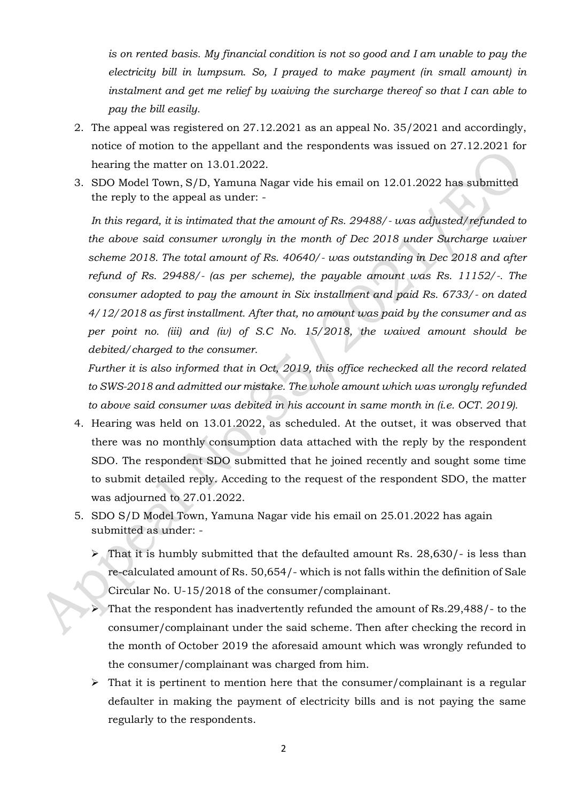*is on rented basis. My financial condition is not so good and I am unable to pay the electricity bill in lumpsum. So, I prayed to make payment (in small amount) in instalment and get me relief by waiving the surcharge thereof so that I can able to pay the bill easily.* 

- 2. The appeal was registered on 27.12.2021 as an appeal No. 35/2021 and accordingly, notice of motion to the appellant and the respondents was issued on 27.12.2021 for hearing the matter on 13.01.2022.
- 3. SDO Model Town, S/D, Yamuna Nagar vide his email on 12.01.2022 has submitted the reply to the appeal as under: -

*In this regard, it is intimated that the amount of Rs. 29488/- was adjusted/refunded to the above said consumer wrongly in the month of Dec 2018 under Surcharge waiver scheme 2018. The total amount of Rs. 40640/- was outstanding in Dec 2018 and after refund of Rs. 29488/- (as per scheme), the payable amount was Rs. 11152/-. The consumer adopted to pay the amount in Six installment and paid Rs. 6733/- on dated 4/12/2018 as first installment. After that, no amount was paid by the consumer and as per point no. (iii) and (iv) of S.C No. 15/2018, the waived amount should be debited/charged to the consumer.* 

*Further it is also informed that in Oct, 2019, this office rechecked all the record related to SWS-2018 and admitted our mistake. The whole amount which was wrongly refunded to above said consumer was debited in his account in same month in (i.e. OCT. 2019).*

- 4. Hearing was held on 13.01.2022, as scheduled. At the outset, it was observed that there was no monthly consumption data attached with the reply by the respondent SDO. The respondent SDO submitted that he joined recently and sought some time to submit detailed reply. Acceding to the request of the respondent SDO, the matter was adjourned to 27.01.2022.
- 5. SDO S/D Model Town, Yamuna Nagar vide his email on 25.01.2022 has again submitted as under: -
	- $\triangleright$  That it is humbly submitted that the defaulted amount Rs. 28,630/- is less than re-calculated amount of Rs. 50,654/- which is not falls within the definition of Sale Circular No. U-15/2018 of the consumer/complainant.
	- ➢ That the respondent has inadvertently refunded the amount of Rs.29,488/- to the consumer/complainant under the said scheme. Then after checking the record in the month of October 2019 the aforesaid amount which was wrongly refunded to the consumer/complainant was charged from him.
	- ➢ That it is pertinent to mention here that the consumer/complainant is a regular defaulter in making the payment of electricity bills and is not paying the same regularly to the respondents.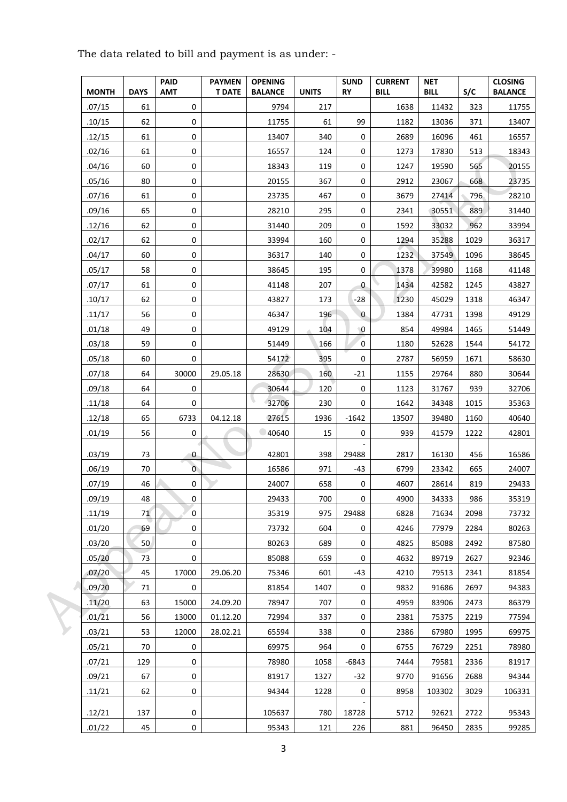|  |              |             | <b>PAID</b>    | <b>PAYMEN</b> | <b>OPENING</b> |              | <b>SUND</b>    | <b>CURRENT</b> | <b>NET</b>  |      | <b>CLOSING</b> |
|--|--------------|-------------|----------------|---------------|----------------|--------------|----------------|----------------|-------------|------|----------------|
|  | <b>MONTH</b> | <b>DAYS</b> | <b>AMT</b>     | <b>T DATE</b> | <b>BALANCE</b> | <b>UNITS</b> | <b>RY</b>      | <b>BILL</b>    | <b>BILL</b> | S/C  | <b>BALANCE</b> |
|  | .07/15       | 61          | 0              |               | 9794           | 217          |                | 1638           | 11432       | 323  | 11755          |
|  | .10/15       | 62          | 0              |               | 11755          | 61           | 99             | 1182           | 13036       | 371  | 13407          |
|  | .12/15       | 61          | 0              |               | 13407          | 340          | 0              | 2689           | 16096       | 461  | 16557          |
|  | .02/16       | 61          | 0              |               | 16557          | 124          | 0              | 1273           | 17830       | 513  | 18343          |
|  | .04/16       | 60          | $\mathsf 0$    |               | 18343          | 119          | 0              | 1247           | 19590       | 565  | 20155          |
|  | .05/16       | 80          | $\mathsf 0$    |               | 20155          | 367          | 0              | 2912           | 23067       | 668  | 23735          |
|  | .07/16       | 61          | 0              |               | 23735          | 467          | 0              | 3679           | 27414       | 796  | 28210          |
|  | .09/16       | 65          | 0              |               | 28210          | 295          | 0              | 2341           | 30551       | 889  | 31440          |
|  | .12/16       | 62          | 0              |               | 31440          | 209          | 0              | 1592           | 33032       | 962  | 33994          |
|  | .02/17       | 62          | 0              |               | 33994          | 160          | 0              | 1294           | 35288       | 1029 | 36317          |
|  | .04/17       | 60          | 0              |               | 36317          | 140          | 0              | 1232           | 37549       | 1096 | 38645          |
|  | .05/17       | 58          | 0              |               | 38645          | 195          | 0              | 1378           | 39980       | 1168 | 41148          |
|  | .07/17       | 61          | $\mathsf 0$    |               | 41148          | 207          | 0              | 1434           | 42582       | 1245 | 43827          |
|  | .10/17       | 62          | 0              |               | 43827          | 173          | $-28$          | 1230           | 45029       | 1318 | 46347          |
|  | .11/17       | 56          | 0              |               | 46347          | 196          | $\overline{0}$ | 1384           | 47731       | 1398 | 49129          |
|  | .01/18       | 49          | 0              |               | 49129          | 104          | $^{\circ}$ O   | 854            | 49984       | 1465 | 51449          |
|  | .03/18       | 59          | $\mathsf 0$    |               | 51449          | 166          | 0              | 1180           | 52628       | 1544 | 54172          |
|  | .05/18       | 60          | $\mathsf 0$    |               | 54172          | 395          | 0              | 2787           | 56959       | 1671 | 58630          |
|  | .07/18       | 64          | 30000          | 29.05.18      | 28630          | 160          | $-21$          | 1155           | 29764       | 880  | 30644          |
|  | .09/18       | 64          | 0              |               | 30644          | 120          | 0              | 1123           | 31767       | 939  | 32706          |
|  | .11/18       | 64          | 0              |               | 32706          | 230          | 0              | 1642           | 34348       | 1015 | 35363          |
|  | .12/18       | 65          | 6733           | 04.12.18      | 27615          | 1936         | $-1642$        | 13507          | 39480       | 1160 | 40640          |
|  | .01/19       | 56          | 0              |               | 40640          | 15           | 0              | 939            | 41579       | 1222 | 42801          |
|  | .03/19       | 73          | 0              |               | 42801          | 398          | 29488          | 2817           | 16130       | 456  | 16586          |
|  | .06/19       | 70          | $\overline{0}$ |               | 16586          | 971          | -43            | 6799           | 23342       | 665  | 24007          |
|  | .07/19       | 46          | 0              |               | 24007          | 658          | 0              | 4607           | 28614       | 819  | 29433          |
|  | .09/19       | 48          | $\mathbf 0$    |               | 29433          | 700          | 0              | 4900           | 34333       | 986  | 35319          |
|  | .11/19       | 71          | 0              |               | 35319          | 975          | 29488          | 6828           | 71634       | 2098 | 73732          |
|  | .01/20       | 69          | 0              |               | 73732          | 604          | 0              | 4246           | 77979       | 2284 | 80263          |
|  | .03/20       | 50          | 0              |               | 80263          | 689          | 0              | 4825           | 85088       | 2492 | 87580          |
|  | .05/20       | 73          | $\pmb{0}$      |               | 85088          | 659          | 0              | 4632           | 89719       | 2627 | 92346          |
|  | .07/20       | 45          | 17000          | 29.06.20      | 75346          | 601          | -43            | 4210           | 79513       | 2341 | 81854          |
|  | .09/20       | 71          | 0              |               | 81854          | 1407         | 0              | 9832           | 91686       | 2697 | 94383          |
|  | .11/20       | 63          | 15000          | 24.09.20      | 78947          | 707          | 0              | 4959           | 83906       | 2473 | 86379          |
|  | .01/21       | 56          | 13000          | 01.12.20      | 72994          | 337          | 0              | 2381           | 75375       | 2219 | 77594          |
|  | .03/21       | 53          | 12000          | 28.02.21      | 65594          | 338          | 0              | 2386           | 67980       | 1995 | 69975          |
|  | .05/21       | 70          | 0              |               | 69975          | 964          | 0              | 6755           | 76729       | 2251 | 78980          |
|  | .07/21       | 129         | 0              |               | 78980          | 1058         | $-6843$        | 7444           | 79581       | 2336 | 81917          |
|  | .09/21       | 67          | 0              |               | 81917          | 1327         | $-32$          | 9770           | 91656       | 2688 | 94344          |
|  | .11/21       | 62          | 0              |               | 94344          | 1228         | 0              | 8958           | 103302      | 3029 | 106331         |
|  | .12/21       | 137         | 0              |               | 105637         | 780          | 18728          | 5712           | 92621       | 2722 | 95343          |
|  | .01/22       | 45          | $\pmb{0}$      |               | 95343          | 121          | 226            | 881            | 96450       | 2835 | 99285          |

The data related to bill and payment is as under: -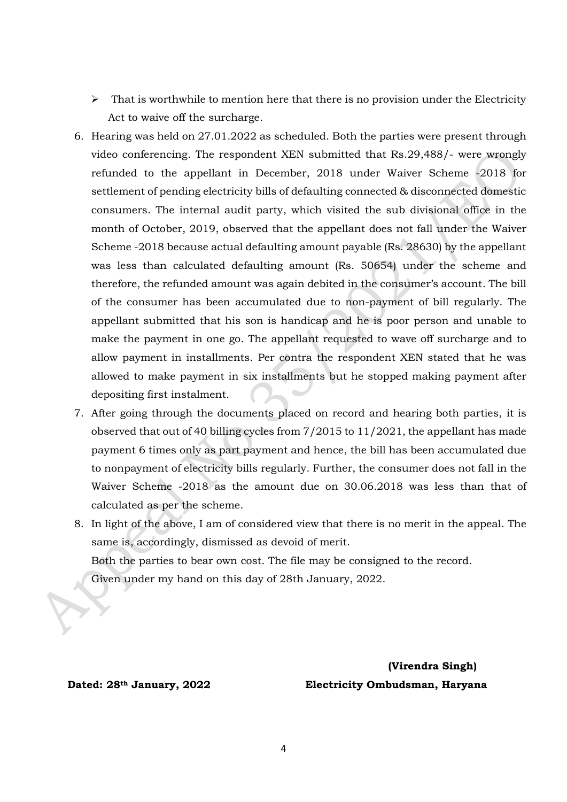- $\triangleright$  That is worthwhile to mention here that there is no provision under the Electricity Act to waive off the surcharge.
- 6. Hearing was held on 27.01.2022 as scheduled. Both the parties were present through video conferencing. The respondent XEN submitted that Rs.29,488/- were wrongly refunded to the appellant in December, 2018 under Waiver Scheme -2018 for settlement of pending electricity bills of defaulting connected & disconnected domestic consumers. The internal audit party, which visited the sub divisional office in the month of October, 2019, observed that the appellant does not fall under the Waiver Scheme -2018 because actual defaulting amount payable (Rs. 28630) by the appellant was less than calculated defaulting amount (Rs. 50654) under the scheme and therefore, the refunded amount was again debited in the consumer's account. The bill of the consumer has been accumulated due to non-payment of bill regularly. The appellant submitted that his son is handicap and he is poor person and unable to make the payment in one go. The appellant requested to wave off surcharge and to allow payment in installments. Per contra the respondent XEN stated that he was allowed to make payment in six installments but he stopped making payment after depositing first instalment.
- 7. After going through the documents placed on record and hearing both parties, it is observed that out of 40 billing cycles from 7/2015 to 11/2021, the appellant has made payment 6 times only as part payment and hence, the bill has been accumulated due to nonpayment of electricity bills regularly. Further, the consumer does not fall in the Waiver Scheme -2018 as the amount due on 30.06.2018 was less than that of calculated as per the scheme.
- 8. In light of the above, I am of considered view that there is no merit in the appeal. The same is, accordingly, dismissed as devoid of merit. Both the parties to bear own cost. The file may be consigned to the record. Given under my hand on this day of 28th January, 2022.

 **(Virendra Singh) Dated: 28th January, 2022 Electricity Ombudsman, Haryana**